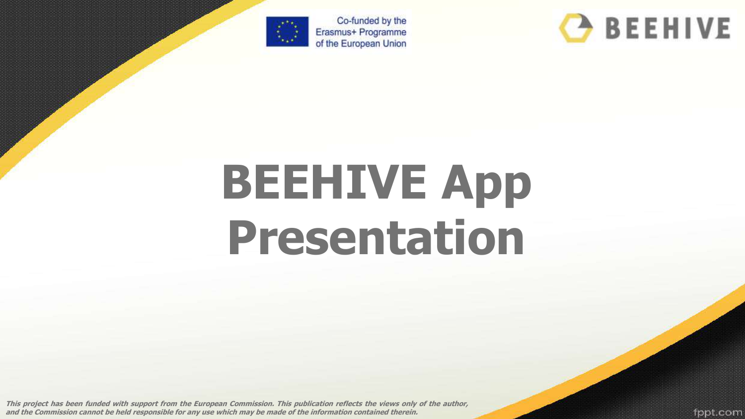



# **BEEHIVE App Presentation**

This project has been funded with support from the European Commission. This publication reflects the views only of the author, and the Commission cannot be held responsible for any use which may be made of the information contained therein.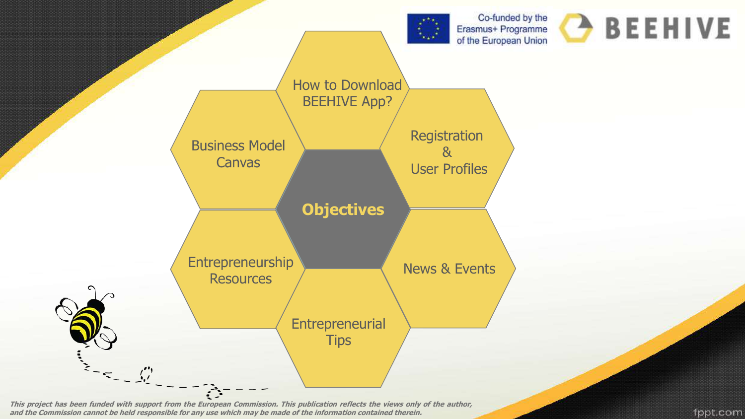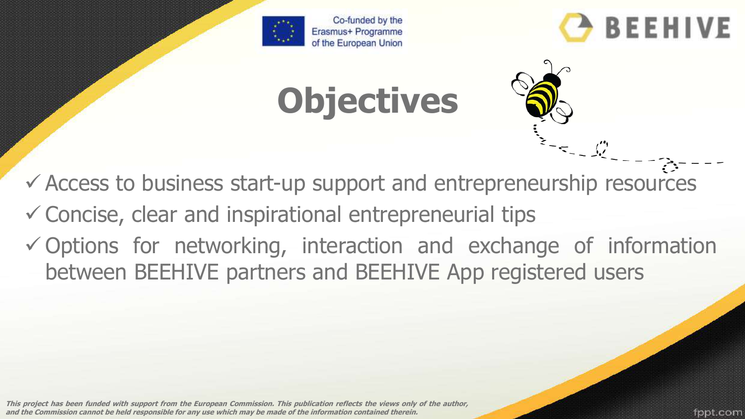



**Objectives**

 $\checkmark$  Access to business start-up support and entrepreneurship resources  $\checkmark$  Concise, clear and inspirational entrepreneurial tips  $\checkmark$  Options for networking, interaction and exchange of information between BEEHIVE partners and BEEHIVE App registered users

This project has been funded with support from the European Commission. This publication reflects the views only of the author, and the Commission cannot be held responsible for any use which may be made of the information contained therein.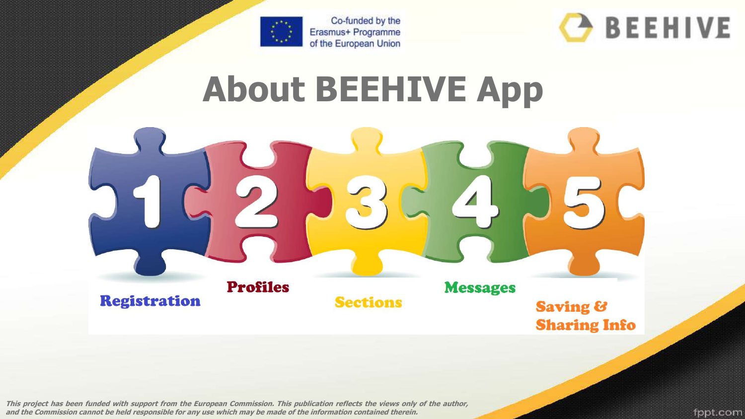



### **About BEEHIVE App**

This project has been funded with support from the European Commission. This publication reflects the views only of the author, and the Commission cannot be held responsible for any use which may be made of the information contained therein.

**Registration** 

**Profiles** 

fppt.com

**Sections** 

**Messages** 

**Saving & Sharing Info**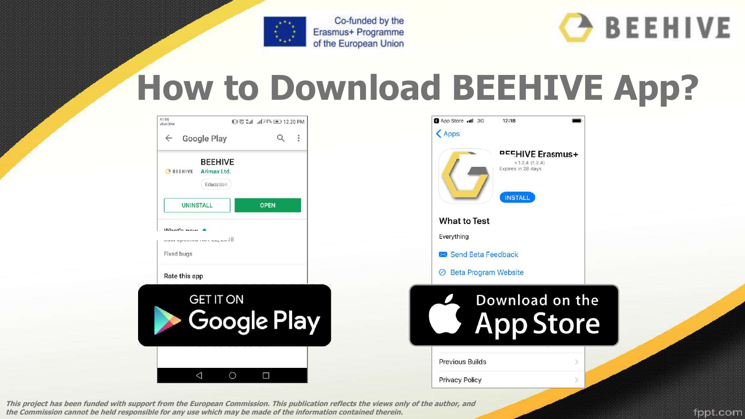



fppt.com

## **How to Download BEEHIVE App?**

| A1 BG<br>日(で :ull ull 74% ID 12:20 PM<br>VIVACOM                                                                                                               | App Store  II 3G<br>12:18<br><apps< th=""></apps<>                                                      |
|----------------------------------------------------------------------------------------------------------------------------------------------------------------|---------------------------------------------------------------------------------------------------------|
| Google Play<br>$\alpha$<br>$\ddot{\cdot}$<br>$\leftarrow$<br><b>BEEHIVE</b><br>Arimax Ltd.<br>BEEHIVE<br>Education<br><b>UNINSTALL</b><br><b>OPEN</b><br>Mhath | <b>REFHIVE Erasmus+</b><br>11.2.4(1.2.4)<br>Expires in 28 days<br><b>INSTALL</b><br><b>What to Test</b> |
|                                                                                                                                                                | Everything                                                                                              |
| Fixed bugs                                                                                                                                                     | <b>Send Beta Feedback</b><br>$\sim$                                                                     |
| Rate this app                                                                                                                                                  | <b>Beta Program Website</b><br>$\odot$                                                                  |
| <b>GET IT ON</b><br>Google Play                                                                                                                                | Download on the<br><b>App Store</b>                                                                     |
|                                                                                                                                                                | <b>Previous Builds</b>                                                                                  |
| $\triangleleft$<br>O<br>Ω                                                                                                                                      | <b>Privacy Policy</b><br>X.                                                                             |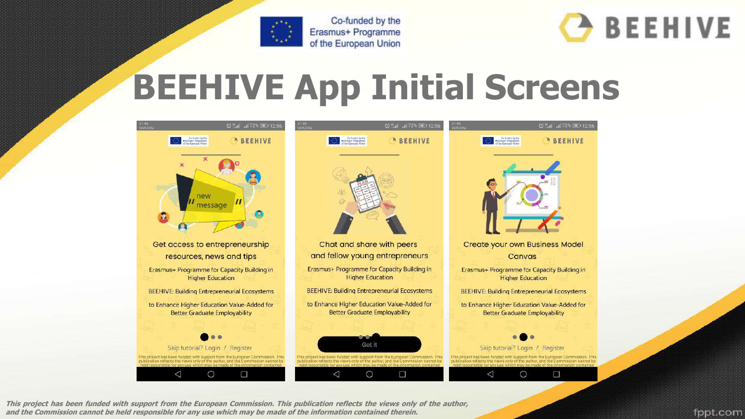

## **BEEHIVE App Initial Screens**



This project has been funded with support from the European Commission. This publication reflects the views only of the author, and the Commission cannot be held responsible for any use which may be made of the information contained therein.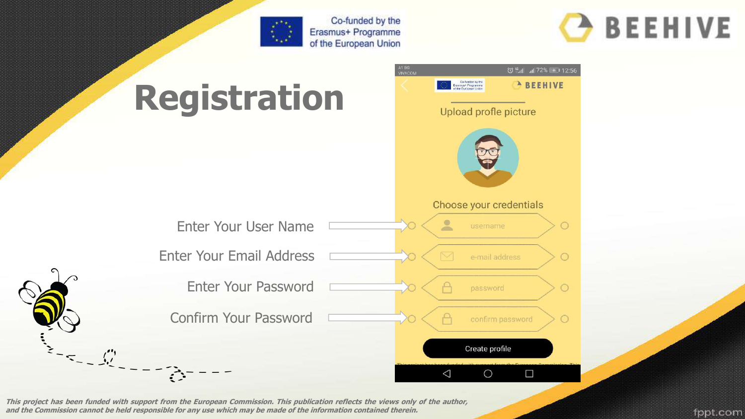

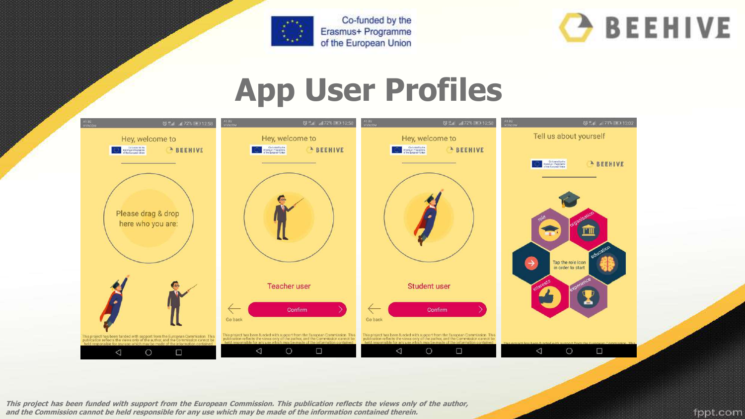



#### **App User Profiles**

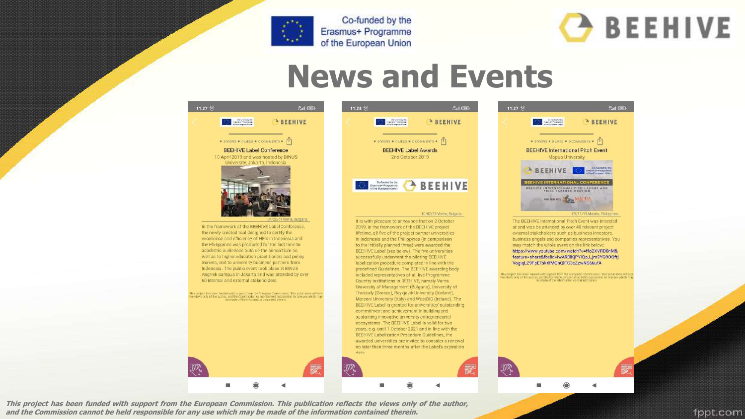



#### **News and Events**



| ீ.ரி (தூ                                                                                                                                                                                                            | 11:27 ◎                                | <b>Call Car</b>                                                                                                                                                                                                                                                                                                                                                        |  |  |
|---------------------------------------------------------------------------------------------------------------------------------------------------------------------------------------------------------------------|----------------------------------------|------------------------------------------------------------------------------------------------------------------------------------------------------------------------------------------------------------------------------------------------------------------------------------------------------------------------------------------------------------------------|--|--|
| rided by the<br><b>A BEENIVE</b><br>Programmer<br>Spaar Chees                                                                                                                                                       | Carlanded by the<br>Especial Programme | <b>A BEENIVE</b>                                                                                                                                                                                                                                                                                                                                                       |  |  |
| <b>DURES . DCOMMENTS .</b>                                                                                                                                                                                          |                                        | · OVIEWS · OLIKES · OCOMMENTS ·                                                                                                                                                                                                                                                                                                                                        |  |  |
| <b>IVE Label Awards</b><br>d October 2019                                                                                                                                                                           |                                        | <b>BEEHIVE International Pitch Event</b><br><b>Mapua University</b>                                                                                                                                                                                                                                                                                                    |  |  |
|                                                                                                                                                                                                                     | <b>A BEEHIVE</b>                       | Co-funded by the<br>Ennomine Program<br>of the European Links                                                                                                                                                                                                                                                                                                          |  |  |
| BEEHIVE                                                                                                                                                                                                             | <b>FINAL PARTMER</b>                   | <b>BEEHIVE INTERNATIONAL CONFERENCE</b><br><b>BEENIVE INTERNATIONAL PITCH EVENT AND</b><br><b>MEETING</b>                                                                                                                                                                                                                                                              |  |  |
|                                                                                                                                                                                                                     |                                        | HOSTED BY: A ANAPUA                                                                                                                                                                                                                                                                                                                                                    |  |  |
| 10/02/19 Varna, Bulgaria                                                                                                                                                                                            |                                        | 09/11/19 Manila, Philippines                                                                                                                                                                                                                                                                                                                                           |  |  |
| announce that on 2 October<br>ork of the BEEHIVE project<br>e project partner universities<br>Philippines (in comparison<br>ed three) were awarded the<br>below). The five universities<br>ent the piloting BEEHIVE |                                        | The BEEHIVE International Pitch Event was intended<br>at and was be attended by over 40 relevant project<br>external stakeholders such as business investors,<br>business angels and companies representatives. You<br>may match the whole event on the link below:<br>https://www.youtube.com/watch?v=ffo2XVRD0nM&<br>feature=share&fbclid=lwAR3lKjPYiQpJ_jm9YG9OOftj |  |  |
| ire completed in line with the<br>es. The BEEHIVE awarding body<br>tives of all five Programme                                                                                                                      | VogigLZ9FpETskXfMQnQlFG3cZzwNS66ufA    | This project has been funded with support from the European Commission. This publication reflects<br>the views only of the author, and the Commission cannot be held responsible for any use which may<br>be raised for the author,                                                                                                                                    |  |  |
| in BEEHIVE, namely Varna<br>ement (Bulgaria), University of<br>teykjavik University (Iceland),<br>Italy) and WestBIC (Ireland). The<br>anted for universities' outstanding                                          |                                        |                                                                                                                                                                                                                                                                                                                                                                        |  |  |
| hievement in building and<br>e university entrepreneurial<br>EHIVE Label is valid for two                                                                                                                           |                                        |                                                                                                                                                                                                                                                                                                                                                                        |  |  |
| tober 2021 and in line with the<br>In Procedure Guidelines, the<br>are invited to consider a renewal<br>nonths after the Label's expiration                                                                         |                                        |                                                                                                                                                                                                                                                                                                                                                                        |  |  |
|                                                                                                                                                                                                                     |                                        |                                                                                                                                                                                                                                                                                                                                                                        |  |  |
|                                                                                                                                                                                                                     |                                        |                                                                                                                                                                                                                                                                                                                                                                        |  |  |

This project has been funded with support from the European Commission. This publication reflects the views only of the author, and the Commission cannot be held responsible for any use which may be made of the information contained therein.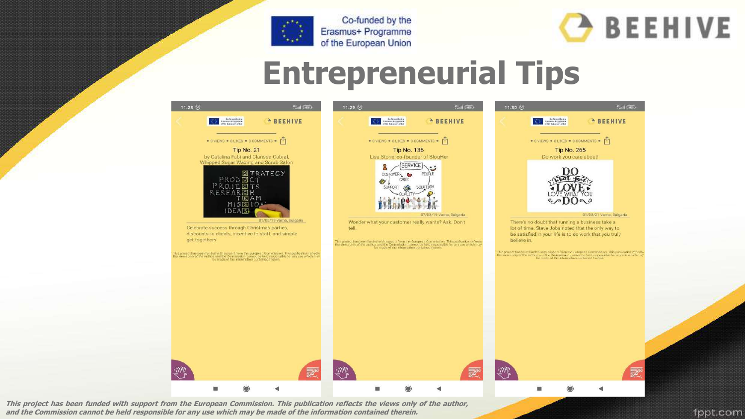



#### **Entrepreneurial Tips**



This project has been funded with support from the European Commission. This publication reflects the views only of the author, and the Commission cannot be held responsible for any use which may be made of the information contained therein.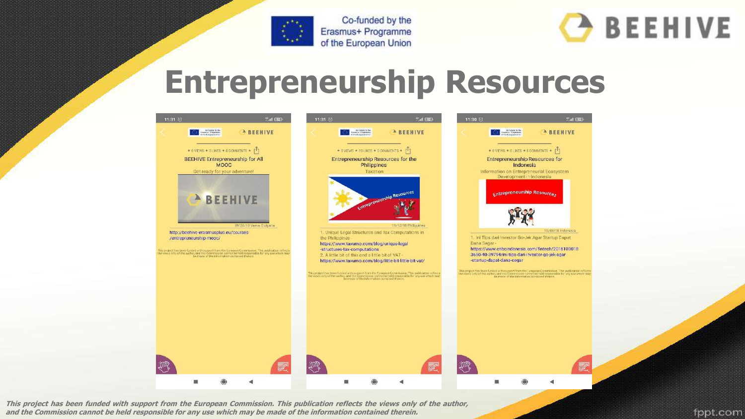



#### **Entrepreneurship Resources**



This project has been funded with support from the European Commission. This publication reflects the views only of the author, and the Commission cannot be held responsible for any use which may be made of the information contained therein.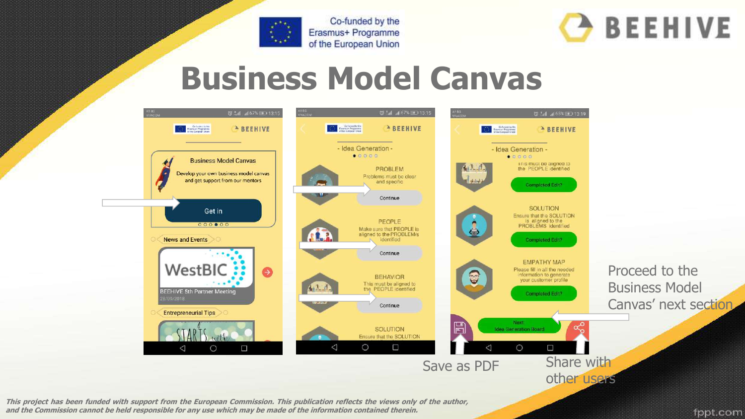



#### **Business Model Canvas**